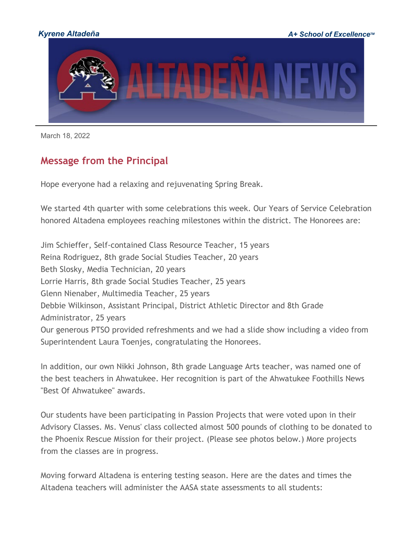

March 18, 2022

## **Message from the Principal**

Hope everyone had a relaxing and rejuvenating Spring Break.

We started 4th quarter with some celebrations this week. Our Years of Service Celebration honored Altadena employees reaching milestones within the district. The Honorees are:

Jim Schieffer, Self-contained Class Resource Teacher, 15 years Reina Rodriguez, 8th grade Social Studies Teacher, 20 years Beth Slosky, Media Technician, 20 years Lorrie Harris, 8th grade Social Studies Teacher, 25 years Glenn Nienaber, Multimedia Teacher, 25 years Debbie Wilkinson, Assistant Principal, District Athletic Director and 8th Grade Administrator, 25 years Our generous PTSO provided refreshments and we had a slide show including a video from Superintendent Laura Toenjes, congratulating the Honorees.

In addition, our own Nikki Johnson, 8th grade Language Arts teacher, was named one of the best teachers in Ahwatukee. Her recognition is part of the Ahwatukee Foothills News "Best Of Ahwatukee" awards.

Our students have been participating in Passion Projects that were voted upon in their Advisory Classes. Ms. Venus' class collected almost 500 pounds of clothing to be donated to the Phoenix Rescue Mission for their project. (Please see photos below.) More projects from the classes are in progress.

Moving forward Altadena is entering testing season. Here are the dates and times the Altadena teachers will administer the AASA state assessments to all students: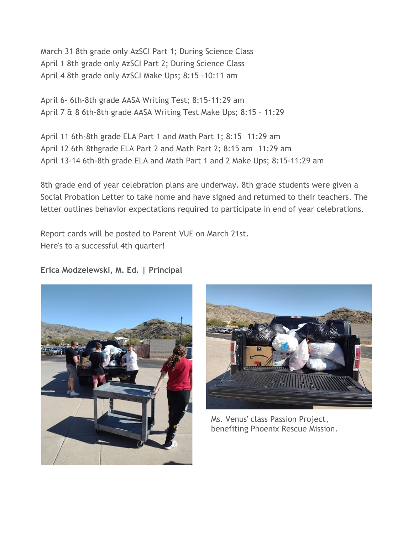March 31 8th grade only AzSCI Part 1; During Science Class April 1 8th grade only AzSCI Part 2; During Science Class April 4 8th grade only AzSCI Make Ups; 8:15 -10:11 am

April 6- 6th-8th grade AASA Writing Test; 8:15-11:29 am April 7 & 8 6th-8th grade AASA Writing Test Make Ups; 8:15 – 11:29

April 11 6th-8th grade ELA Part 1 and Math Part 1; 8:15 –11:29 am April 12 6th–8thgrade ELA Part 2 and Math Part 2; 8:15 am –11:29 am April 13-14 6th-8th grade ELA and Math Part 1 and 2 Make Ups; 8:15-11:29 am

8th grade end of year celebration plans are underway. 8th grade students were given a Social Probation Letter to take home and have signed and returned to their teachers. The letter outlines behavior expectations required to participate in end of year celebrations.

Report cards will be posted to Parent VUE on March 21st. Here's to a successful 4th quarter!

#### **Erica Modzelewski, M. Ed. | Principal**





Ms. Venus' class Passion Project, benefiting Phoenix Rescue Mission.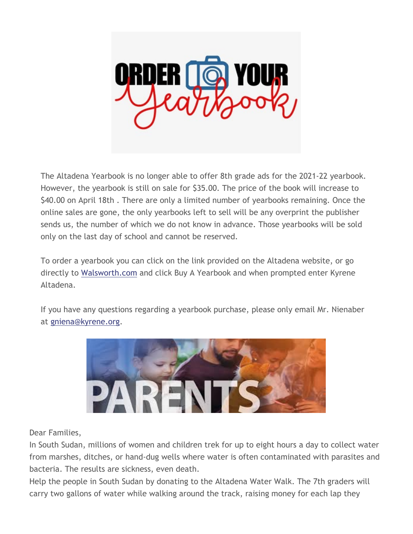

The Altadena Yearbook is no longer able to offer 8th grade ads for the 2021-22 yearbook. However, the yearbook is still on sale for \$35.00. The price of the book will increase to \$40.00 on April 18th. There are only a limited number of yearbooks remaining. Once the online sales are gone, the only yearbooks left to sell will be any overprint the publisher sends us, the number of which we do not know in advance. Those yearbooks will be sold only on the last day of school and cannot be reserved.

To order a yearbook you can click on the link provided on the Altadena website, or go directly to [Walsworth.com](http://track.spe.schoolmessenger.com/f/a/7QGJHcW8HJowQsVvV1XaMQ%7E%7E/AAAAAQA%7E/RgRkFkU8P0QjaHR0cHM6Ly93d3cud2Fsc3dvcnRoeWVhcmJvb2tzLmNvbS9XB3NjaG9vbG1CCmI0vBE1YvFXiKhSEHNyYXRoQGt5cmVuZS5vcmdYBAAAAAE%7E) and click Buy A Yearbook and when prompted enter Kyrene Altadena.

If you have any questions regarding a yearbook purchase, please only email Mr. Nienaber at [gniena@kyrene.org.](mailto:gniena@kyrene.org)



Dear Families,

In South Sudan, millions of women and children trek for up to eight hours a day to collect water from marshes, ditches, or hand-dug wells where water is often contaminated with parasites and bacteria. The results are sickness, even death.

Help the people in South Sudan by donating to the Altadena Water Walk. The 7th graders will carry two gallons of water while walking around the track, raising money for each lap they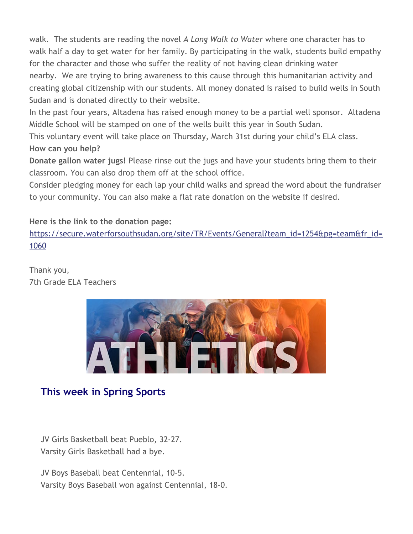walk. The students are reading the novel *A Long Walk to Water* where one character has to walk half a day to get water for her family. By participating in the walk, students build empathy for the character and those who suffer the reality of not having clean drinking water nearby. We are trying to bring awareness to this cause through this humanitarian activity and creating global citizenship with our students. All money donated is raised to build wells in South Sudan and is donated directly to their website.

In the past four years, Altadena has raised enough money to be a partial well sponsor. Altadena Middle School will be stamped on one of the wells built this year in South Sudan.

This voluntary event will take place on Thursday, March 31st during your child's ELA class. **How can you help?**

**Donate gallon water jugs!** Please rinse out the jugs and have your students bring them to their classroom. You can also drop them off at the school office.

Consider pledging money for each lap your child walks and spread the word about the fundraiser to your community. You can also make a flat rate donation on the website if desired.

### **Here is the link to the donation page:**

[https://secure.waterforsouthsudan.org/site/TR/Events/General?team\\_id=1254&pg=team&fr\\_id=](http://track.spe.schoolmessenger.com/f/a/-V_kej7DneO8t-NfDBDsUg%7E%7E/AAAAAQA%7E/RgRkFkU8P0RcaHR0cHM6Ly9zZWN1cmUud2F0ZXJmb3Jzb3V0aHN1ZGFuLm9yZy9zaXRlL1RSL0V2ZW50cy9HZW5lcmFsP3RlYW1faWQ9MTI1NCZwZz10ZWFtJmZyX2lkPTEwNjBXB3NjaG9vbG1CCmI0vBE1YvFXiKhSEHNyYXRoQGt5cmVuZS5vcmdYBAAAAAE%7E) [1060](http://track.spe.schoolmessenger.com/f/a/-V_kej7DneO8t-NfDBDsUg%7E%7E/AAAAAQA%7E/RgRkFkU8P0RcaHR0cHM6Ly9zZWN1cmUud2F0ZXJmb3Jzb3V0aHN1ZGFuLm9yZy9zaXRlL1RSL0V2ZW50cy9HZW5lcmFsP3RlYW1faWQ9MTI1NCZwZz10ZWFtJmZyX2lkPTEwNjBXB3NjaG9vbG1CCmI0vBE1YvFXiKhSEHNyYXRoQGt5cmVuZS5vcmdYBAAAAAE%7E)

Thank you, 7th Grade ELA Teachers



# **This week in Spring Sports**

JV Girls Basketball beat Pueblo, 32-27. Varsity Girls Basketball had a bye.

JV Boys Baseball beat Centennial, 10-5. Varsity Boys Baseball won against Centennial, 18-0.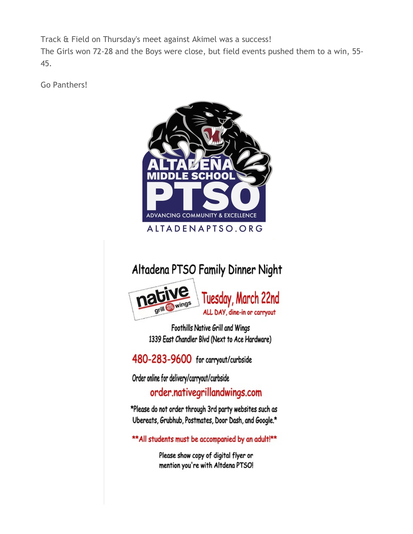Track & Field on Thursday's meet against Akimel was a success! The Girls won 72-28 and the Boys were close, but field events pushed them to a win, 55- 45.

Go Panthers!